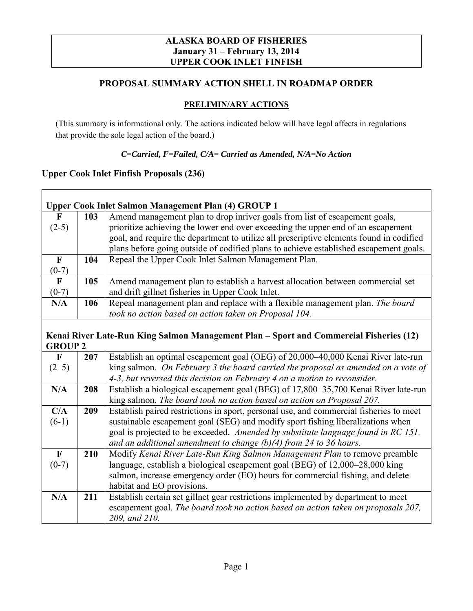#### **ALASKA BOARD OF FISHERIES January 31 – February 13, 2014 UPPER COOK INLET FINFISH**

## **PROPOSAL SUMMARY ACTION SHELL IN ROADMAP ORDER**

### **PRELIMIN/ARY ACTIONS**

(This summary is informational only. The actions indicated below will have legal affects in regulations that provide the sole legal action of the board.)

#### *C=Carried, F=Failed, C/A= Carried as Amended, N/A=No Action*

#### **Upper Cook Inlet Finfish Proposals (236)**

|             | Upper Cook Inlet Salmon Management Plan (4) GROUP 1 |                                                                                         |  |  |
|-------------|-----------------------------------------------------|-----------------------------------------------------------------------------------------|--|--|
| F           | 103                                                 | Amend management plan to drop inriver goals from list of escapement goals,              |  |  |
| $(2-5)$     |                                                     | prioritize achieving the lower end over exceeding the upper end of an escapement        |  |  |
|             |                                                     | goal, and require the department to utilize all prescriptive elements found in codified |  |  |
|             |                                                     | plans before going outside of codified plans to achieve established escapement goals.   |  |  |
| $\mathbf F$ | 104                                                 | Repeal the Upper Cook Inlet Salmon Management Plan.                                     |  |  |
| $(0-7)$     |                                                     |                                                                                         |  |  |
| F           | 105                                                 | Amend management plan to establish a harvest allocation between commercial set          |  |  |
| $(0-7)$     |                                                     | and drift gillnet fisheries in Upper Cook Inlet.                                        |  |  |
| N/A         | 106                                                 | Repeal management plan and replace with a flexible management plan. The board           |  |  |
|             |                                                     | took no action based on action taken on Proposal 104.                                   |  |  |

### **Kenai River Late-Run King Salmon Management Plan – Sport and Commercial Fisheries (12) GROUP 2**

| $\mathbf F$  | 207 | Establish an optimal escapement goal (OEG) of 20,000–40,000 Kenai River late-run       |
|--------------|-----|----------------------------------------------------------------------------------------|
| $(2-5)$      |     | king salmon. On February 3 the board carried the proposal as amended on a vote of      |
|              |     | 4-3, but reversed this decision on February 4 on a motion to reconsider.               |
| N/A          | 208 | Establish a biological escapement goal (BEG) of 17,800–35,700 Kenai River late-run     |
|              |     | king salmon. The board took no action based on action on Proposal 207.                 |
| C/A          | 209 | Establish paired restrictions in sport, personal use, and commercial fisheries to meet |
| $(6-1)$      |     | sustainable escapement goal (SEG) and modify sport fishing liberalizations when        |
|              |     | goal is projected to be exceeded. Amended by substitute language found in RC 151,      |
|              |     | and an additional amendment to change $(b)(4)$ from 24 to 36 hours.                    |
| $\mathbf{F}$ | 210 | Modify Kenai River Late-Run King Salmon Management Plan to remove preamble             |
| $(0-7)$      |     | language, establish a biological escapement goal (BEG) of 12,000–28,000 king           |
|              |     | salmon, increase emergency order (EO) hours for commercial fishing, and delete         |
|              |     | habitat and EO provisions.                                                             |
| N/A          | 211 | Establish certain set gillnet gear restrictions implemented by department to meet      |
|              |     | escapement goal. The board took no action based on action taken on proposals 207,      |
|              |     | 209, and 210.                                                                          |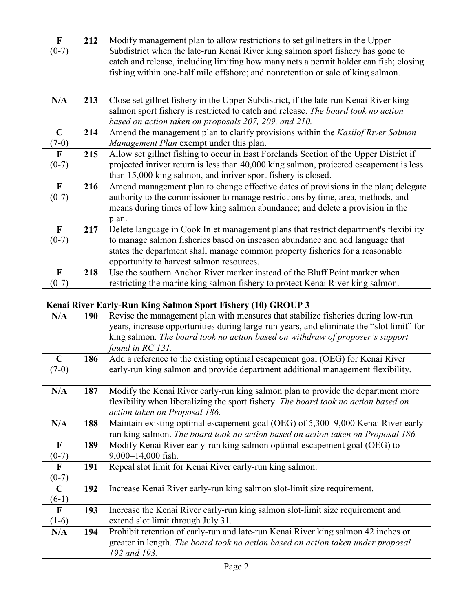| $\mathbf F$             | 212 | Modify management plan to allow restrictions to set gillnetters in the Upper                                                                                                    |
|-------------------------|-----|---------------------------------------------------------------------------------------------------------------------------------------------------------------------------------|
| $(0-7)$                 |     | Subdistrict when the late-run Kenai River king salmon sport fishery has gone to                                                                                                 |
|                         |     | catch and release, including limiting how many nets a permit holder can fish; closing                                                                                           |
|                         |     | fishing within one-half mile offshore; and nonretention or sale of king salmon.                                                                                                 |
|                         |     |                                                                                                                                                                                 |
| N/A                     | 213 | Close set gillnet fishery in the Upper Subdistrict, if the late-run Kenai River king                                                                                            |
|                         |     | salmon sport fishery is restricted to catch and release. The board took no action                                                                                               |
|                         |     | based on action taken on proposals 207, 209, and 210.                                                                                                                           |
| $\mathbf C$             | 214 | Amend the management plan to clarify provisions within the Kasilof River Salmon                                                                                                 |
| $(7-0)$                 |     | Management Plan exempt under this plan.                                                                                                                                         |
| $\mathbf{F}$<br>$(0-7)$ | 215 | Allow set gillnet fishing to occur in East Forelands Section of the Upper District if<br>projected inriver return is less than 40,000 king salmon, projected escapement is less |
|                         |     | than 15,000 king salmon, and inriver sport fishery is closed.                                                                                                                   |
| $\mathbf F$             | 216 | Amend management plan to change effective dates of provisions in the plan; delegate                                                                                             |
| $(0-7)$                 |     | authority to the commissioner to manage restrictions by time, area, methods, and                                                                                                |
|                         |     | means during times of low king salmon abundance; and delete a provision in the                                                                                                  |
|                         |     | plan.                                                                                                                                                                           |
| $\mathbf F$             | 217 | Delete language in Cook Inlet management plans that restrict department's flexibility                                                                                           |
| $(0-7)$                 |     | to manage salmon fisheries based on inseason abundance and add language that                                                                                                    |
|                         |     | states the department shall manage common property fisheries for a reasonable                                                                                                   |
|                         |     | opportunity to harvest salmon resources.<br>Use the southern Anchor River marker instead of the Bluff Point marker when                                                         |
| $\mathbf F$<br>$(0-7)$  | 218 | restricting the marine king salmon fishery to protect Kenai River king salmon.                                                                                                  |
|                         |     |                                                                                                                                                                                 |
|                         |     |                                                                                                                                                                                 |
|                         |     |                                                                                                                                                                                 |
| N/A                     | 190 | Kenai River Early-Run King Salmon Sport Fishery (10) GROUP 3<br>Revise the management plan with measures that stabilize fisheries during low-run                                |
|                         |     | years, increase opportunities during large-run years, and eliminate the "slot limit" for                                                                                        |
|                         |     | king salmon. The board took no action based on withdraw of proposer's support                                                                                                   |
|                         |     | found in RC 131.                                                                                                                                                                |
| $\mathbf C$             | 186 | Add a reference to the existing optimal escapement goal (OEG) for Kenai River                                                                                                   |
| $(7-0)$                 |     | early-run king salmon and provide department additional management flexibility.                                                                                                 |
|                         |     |                                                                                                                                                                                 |
| N/A                     | 187 | Modify the Kenai River early-run king salmon plan to provide the department more                                                                                                |
|                         |     | flexibility when liberalizing the sport fishery. The board took no action based on                                                                                              |
| N/A                     | 188 | action taken on Proposal 186.                                                                                                                                                   |
|                         |     | Maintain existing optimal escapement goal (OEG) of 5,300–9,000 Kenai River early-<br>run king salmon. The board took no action based on action taken on Proposal 186.           |
| $\mathbf F$             | 189 | Modify Kenai River early-run king salmon optimal escapement goal (OEG) to                                                                                                       |
| $(0-7)$                 |     | 9,000-14,000 fish.                                                                                                                                                              |
| $\mathbf F$             | 191 | Repeal slot limit for Kenai River early-run king salmon.                                                                                                                        |
| $(0-7)$                 |     |                                                                                                                                                                                 |
| $\mathbf C$             | 192 | Increase Kenai River early-run king salmon slot-limit size requirement.                                                                                                         |
| $(6-1)$                 |     |                                                                                                                                                                                 |
| $\mathbf{F}$            | 193 | Increase the Kenai River early-run king salmon slot-limit size requirement and                                                                                                  |
| $(1-6)$<br>N/A          | 194 | extend slot limit through July 31.                                                                                                                                              |
|                         |     | Prohibit retention of early-run and late-run Kenai River king salmon 42 inches or<br>greater in length. The board took no action based on action taken under proposal           |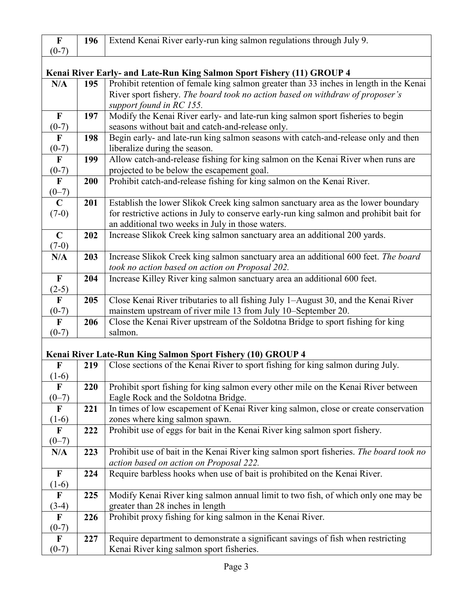| $\mathbf F$                                                            | 196 | Extend Kenai River early-run king salmon regulations through July 9.                    |  |
|------------------------------------------------------------------------|-----|-----------------------------------------------------------------------------------------|--|
| $(0-7)$                                                                |     |                                                                                         |  |
|                                                                        |     |                                                                                         |  |
| Kenai River Early- and Late-Run King Salmon Sport Fishery (11) GROUP 4 |     |                                                                                         |  |
| N/A                                                                    | 195 | Prohibit retention of female king salmon greater than 33 inches in length in the Kenai  |  |
|                                                                        |     | River sport fishery. The board took no action based on withdraw of proposer's           |  |
|                                                                        |     | support found in RC 155.                                                                |  |
| $\mathbf F$                                                            | 197 | Modify the Kenai River early- and late-run king salmon sport fisheries to begin         |  |
| $(0-7)$                                                                |     | seasons without bait and catch-and-release only.                                        |  |
| $\mathbf F$                                                            | 198 | Begin early- and late-run king salmon seasons with catch-and-release only and then      |  |
| $(0-7)$                                                                |     | liberalize during the season.                                                           |  |
| $\overline{\mathbf{F}}$                                                | 199 | Allow catch-and-release fishing for king salmon on the Kenai River when runs are        |  |
| $(0-7)$                                                                |     | projected to be below the escapement goal.                                              |  |
| $\mathbf F$                                                            | 200 | Prohibit catch-and-release fishing for king salmon on the Kenai River.                  |  |
| $(0-7)$                                                                |     |                                                                                         |  |
| $\overline{C}$                                                         | 201 | Establish the lower Slikok Creek king salmon sanctuary area as the lower boundary       |  |
| $(7-0)$                                                                |     | for restrictive actions in July to conserve early-run king salmon and prohibit bait for |  |
|                                                                        |     | an additional two weeks in July in those waters.                                        |  |
| $\mathbf C$                                                            | 202 | Increase Slikok Creek king salmon sanctuary area an additional 200 yards.               |  |
| $(7-0)$                                                                |     |                                                                                         |  |
| N/A                                                                    | 203 | Increase Slikok Creek king salmon sanctuary area an additional 600 feet. The board      |  |
|                                                                        |     | took no action based on action on Proposal 202.                                         |  |
| $\mathbf{F}$                                                           | 204 | Increase Killey River king salmon sanctuary area an additional 600 feet.                |  |
| $(2-5)$                                                                |     |                                                                                         |  |
| $\mathbf F$                                                            | 205 | Close Kenai River tributaries to all fishing July 1-August 30, and the Kenai River      |  |
| $(0-7)$                                                                |     | mainstem upstream of river mile 13 from July 10–September 20.                           |  |
| $\mathbf{F}$                                                           | 206 | Close the Kenai River upstream of the Soldotna Bridge to sport fishing for king         |  |
| $(0-7)$                                                                |     | salmon.                                                                                 |  |
|                                                                        |     |                                                                                         |  |
|                                                                        |     | Kenai River Late-Run King Salmon Sport Fishery (10) GROUP 4                             |  |
| $\mathbf F$                                                            | 219 | Close sections of the Kenai River to sport fishing for king salmon during July.         |  |
| $(1-6)$                                                                |     |                                                                                         |  |
| $\mathbf F$                                                            | 220 | Prohibit sport fishing for king salmon every other mile on the Kenai River between      |  |
| $(0-7)$                                                                |     | Eagle Rock and the Soldotna Bridge.                                                     |  |
| $\mathbf F$                                                            | 221 | In times of low escapement of Kenai River king salmon, close or create conservation     |  |
| $(1-6)$                                                                |     | zones where king salmon spawn.                                                          |  |
| $\mathbf{F}$                                                           | 222 | Prohibit use of eggs for bait in the Kenai River king salmon sport fishery.             |  |
| $(0-7)$                                                                |     |                                                                                         |  |
| N/A                                                                    | 223 | Prohibit use of bait in the Kenai River king salmon sport fisheries. The board took no  |  |
|                                                                        |     | action based on action on Proposal 222.                                                 |  |
| $\mathbf F$                                                            | 224 | Require barbless hooks when use of bait is prohibited on the Kenai River.               |  |
| $(1-6)$                                                                |     |                                                                                         |  |
| $\mathbf{F}$                                                           | 225 | Modify Kenai River king salmon annual limit to two fish, of which only one may be       |  |
| $(3-4)$                                                                |     | greater than 28 inches in length                                                        |  |
| $\mathbf F$                                                            | 226 | Prohibit proxy fishing for king salmon in the Kenai River.                              |  |
| $(0-7)$                                                                |     |                                                                                         |  |
| F                                                                      | 227 | Require department to demonstrate a significant savings of fish when restricting        |  |
| $(0-7)$                                                                |     | Kenai River king salmon sport fisheries.                                                |  |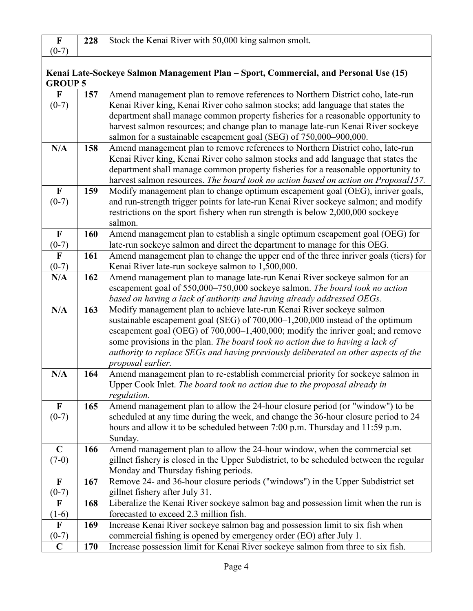|         | 228 Stock the Kenai River with 50,000 king salmon smolt. |
|---------|----------------------------------------------------------|
| $(0-7)$ |                                                          |

# **Kenai Late-Sockeye Salmon Management Plan – Sport, Commercial, and Personal Use (15) GROUP 5**

| $\mathbf{F}$              | 157 | Amend management plan to remove references to Northern District coho, late-run          |
|---------------------------|-----|-----------------------------------------------------------------------------------------|
| $(0-7)$                   |     | Kenai River king, Kenai River coho salmon stocks; add language that states the          |
|                           |     | department shall manage common property fisheries for a reasonable opportunity to       |
|                           |     | harvest salmon resources; and change plan to manage late-run Kenai River sockeye        |
|                           |     | salmon for a sustainable escapement goal (SEG) of 750,000–900,000.                      |
| N/A                       | 158 | Amend management plan to remove references to Northern District coho, late-run          |
|                           |     | Kenai River king, Kenai River coho salmon stocks and add language that states the       |
|                           |     | department shall manage common property fisheries for a reasonable opportunity to       |
|                           |     | harvest salmon resources. The board took no action based on action on Proposal157.      |
| $\mathbf F$               | 159 | Modify management plan to change optimum escapement goal (OEG), inriver goals,          |
| $(0-7)$                   |     | and run-strength trigger points for late-run Kenai River sockeye salmon; and modify     |
|                           |     | restrictions on the sport fishery when run strength is below 2,000,000 sockeye          |
|                           |     | salmon.                                                                                 |
| $\mathbf F$               | 160 | Amend management plan to establish a single optimum escapement goal (OEG) for           |
| $(0-7)$                   |     | late-run sockeye salmon and direct the department to manage for this OEG.               |
| $\mathbf F$               | 161 | Amend management plan to change the upper end of the three inriver goals (tiers) for    |
| $(0-7)$                   |     | Kenai River late-run sockeye salmon to 1,500,000.                                       |
| N/A                       | 162 | Amend management plan to manage late-run Kenai River sockeye salmon for an              |
|                           |     | escapement goal of 550,000-750,000 sockeye salmon. The board took no action             |
|                           |     | based on having a lack of authority and having already addressed OEGs.                  |
| N/A                       | 163 | Modify management plan to achieve late-run Kenai River sockeye salmon                   |
|                           |     | sustainable escapement goal (SEG) of 700,000–1,200,000 instead of the optimum           |
|                           |     | escapement goal (OEG) of 700,000–1,400,000; modify the inriver goal; and remove         |
|                           |     | some provisions in the plan. The board took no action due to having a lack of           |
|                           |     | authority to replace SEGs and having previously deliberated on other aspects of the     |
|                           |     | proposal earlier.                                                                       |
| N/A                       | 164 | Amend management plan to re-establish commercial priority for sockeye salmon in         |
|                           |     | Upper Cook Inlet. The board took no action due to the proposal already in               |
|                           |     | regulation.                                                                             |
| $\boldsymbol{\mathrm{F}}$ | 165 | Amend management plan to allow the 24-hour closure period (or "window") to be           |
| $(0-7)$                   |     | scheduled at any time during the week, and change the 36-hour closure period to 24      |
|                           |     | hours and allow it to be scheduled between 7:00 p.m. Thursday and 11:59 p.m.            |
|                           |     | Sunday.                                                                                 |
| $\mathbf C$               | 166 | Amend management plan to allow the 24-hour window, when the commercial set              |
| $(7-0)$                   |     | gillnet fishery is closed in the Upper Subdistrict, to be scheduled between the regular |
|                           |     | Monday and Thursday fishing periods.                                                    |
| $\mathbf F$               | 167 | Remove 24- and 36-hour closure periods ("windows") in the Upper Subdistrict set         |
| $(0-7)$                   |     | gillnet fishery after July 31.                                                          |
| $\mathbf F$               | 168 | Liberalize the Kenai River sockeye salmon bag and possession limit when the run is      |
| $(1-6)$                   |     | forecasted to exceed 2.3 million fish.                                                  |
| $\mathbf F$               | 169 | Increase Kenai River sockeye salmon bag and possession limit to six fish when           |
| $(0-7)$                   |     | commercial fishing is opened by emergency order (EO) after July 1.                      |
| $\mathbf C$               | 170 | Increase possession limit for Kenai River sockeye salmon from three to six fish.        |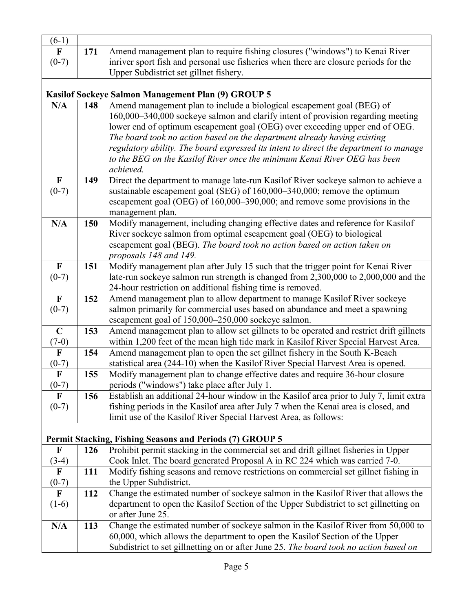| $(6-1)$                   |            |                                                                                                                                                                    |
|---------------------------|------------|--------------------------------------------------------------------------------------------------------------------------------------------------------------------|
| $\mathbf F$               | 171        | Amend management plan to require fishing closures ("windows") to Kenai River                                                                                       |
| $(0-7)$                   |            | inriver sport fish and personal use fisheries when there are closure periods for the                                                                               |
|                           |            | Upper Subdistrict set gillnet fishery.                                                                                                                             |
|                           |            | Kasilof Sockeye Salmon Management Plan (9) GROUP 5                                                                                                                 |
| N/A                       | 148        | Amend management plan to include a biological escapement goal (BEG) of                                                                                             |
|                           |            | 160,000–340,000 sockeye salmon and clarify intent of provision regarding meeting                                                                                   |
|                           |            | lower end of optimum escapement goal (OEG) over exceeding upper end of OEG.                                                                                        |
|                           |            | The board took no action based on the department already having existing                                                                                           |
|                           |            | regulatory ability. The board expressed its intent to direct the department to manage                                                                              |
|                           |            | to the BEG on the Kasilof River once the minimum Kenai River OEG has been                                                                                          |
|                           |            | achieved.                                                                                                                                                          |
| $\mathbf F$               | 149        | Direct the department to manage late-run Kasilof River sockeye salmon to achieve a                                                                                 |
| $(0-7)$                   |            | sustainable escapement goal (SEG) of 160,000–340,000; remove the optimum                                                                                           |
|                           |            | escapement goal (OEG) of 160,000–390,000; and remove some provisions in the                                                                                        |
|                           |            | management plan.                                                                                                                                                   |
| N/A                       | 150        | Modify management, including changing effective dates and reference for Kasilof                                                                                    |
|                           |            | River sockeye salmon from optimal escapement goal (OEG) to biological                                                                                              |
|                           |            | escapement goal (BEG). The board took no action based on action taken on                                                                                           |
|                           |            | proposals 148 and 149.                                                                                                                                             |
| $\mathbf F$               | 151        | Modify management plan after July 15 such that the trigger point for Kenai River                                                                                   |
| $(0-7)$                   |            | late-run sockeye salmon run strength is changed from 2,300,000 to 2,000,000 and the                                                                                |
|                           |            | 24-hour restriction on additional fishing time is removed.                                                                                                         |
| $\mathbf F$               | 152        | Amend management plan to allow department to manage Kasilof River sockeye                                                                                          |
| $(0-7)$                   |            | salmon primarily for commercial uses based on abundance and meet a spawning<br>escapement goal of 150,000-250,000 sockeye salmon.                                  |
| $\mathbf C$               | 153        | Amend management plan to allow set gillnets to be operated and restrict drift gillnets                                                                             |
| $(7-0)$                   |            | within 1,200 feet of the mean high tide mark in Kasilof River Special Harvest Area.                                                                                |
| $\mathbf{F}$              | 154        | Amend management plan to open the set gillnet fishery in the South K-Beach                                                                                         |
| $(0-7)$                   |            | statistical area (244-10) when the Kasilof River Special Harvest Area is opened.                                                                                   |
| $\mathbf F$               | 155        | Modify management plan to change effective dates and require 36-hour closure                                                                                       |
| $(0-7)$                   |            | periods ("windows") take place after July 1.                                                                                                                       |
| $\mathbf F$               | 156        | Establish an additional 24-hour window in the Kasilof area prior to July 7, limit extra                                                                            |
| $(0-7)$                   |            | fishing periods in the Kasilof area after July 7 when the Kenai area is closed, and                                                                                |
|                           |            | limit use of the Kasilof River Special Harvest Area, as follows:                                                                                                   |
|                           |            |                                                                                                                                                                    |
|                           |            | <b>Permit Stacking, Fishing Seasons and Periods (7) GROUP 5</b>                                                                                                    |
| F                         | 126        | Prohibit permit stacking in the commercial set and drift gillnet fisheries in Upper                                                                                |
| $(3-4)$                   |            | Cook Inlet. The board generated Proposal A in RC 224 which was carried 7-0.<br>Modify fishing seasons and remove restrictions on commercial set gillnet fishing in |
| $\mathbf F$<br>$(0-7)$    | <b>111</b> | the Upper Subdistrict.                                                                                                                                             |
| $\boldsymbol{\mathrm{F}}$ | 112        | Change the estimated number of sockeye salmon in the Kasilof River that allows the                                                                                 |
| $(1-6)$                   |            | department to open the Kasilof Section of the Upper Subdistrict to set gillnetting on                                                                              |
|                           |            | or after June 25.                                                                                                                                                  |
| N/A                       | 113        | Change the estimated number of sockeye salmon in the Kasilof River from 50,000 to                                                                                  |
|                           |            | 60,000, which allows the department to open the Kasilof Section of the Upper                                                                                       |
|                           |            | Subdistrict to set gillnetting on or after June 25. The board took no action based on                                                                              |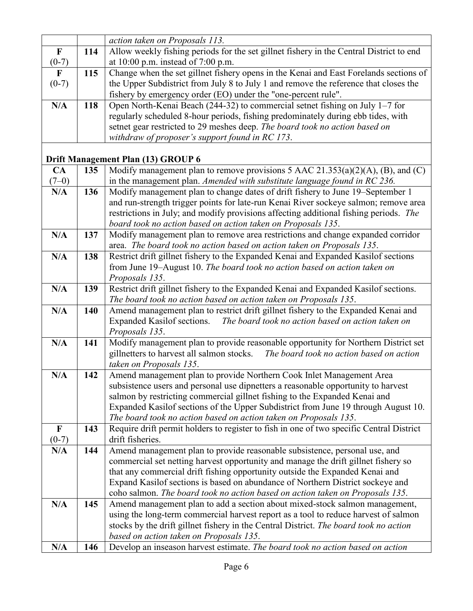|                |     | action taken on Proposals 113.                                                                                                                        |
|----------------|-----|-------------------------------------------------------------------------------------------------------------------------------------------------------|
| $\mathbf F$    | 114 | Allow weekly fishing periods for the set gillnet fishery in the Central District to end                                                               |
| $(0-7)$        |     | at $10:00$ p.m. instead of $7:00$ p.m.                                                                                                                |
| $\mathbf{F}$   | 115 | Change when the set gillnet fishery opens in the Kenai and East Forelands sections of                                                                 |
| $(0-7)$        |     | the Upper Subdistrict from July 8 to July 1 and remove the reference that closes the                                                                  |
|                |     | fishery by emergency order (EO) under the "one-percent rule".                                                                                         |
| N/A            | 118 | Open North-Kenai Beach (244-32) to commercial setnet fishing on July 1-7 for                                                                          |
|                |     | regularly scheduled 8-hour periods, fishing predominately during ebb tides, with                                                                      |
|                |     | setnet gear restricted to 29 meshes deep. The board took no action based on                                                                           |
|                |     | withdraw of proposer's support found in RC 173.                                                                                                       |
|                |     |                                                                                                                                                       |
|                |     | Drift Management Plan (13) GROUP 6                                                                                                                    |
| CA             | 135 | Modify management plan to remove provisions 5 AAC $21.353(a)(2)(A)$ , (B), and (C)                                                                    |
| $(7-0)$        |     | in the management plan. Amended with substitute language found in RC 236.                                                                             |
| N/A            | 136 | Modify management plan to change dates of drift fishery to June 19-September 1                                                                        |
|                |     | and run-strength trigger points for late-run Kenai River sockeye salmon; remove area                                                                  |
|                |     | restrictions in July; and modify provisions affecting additional fishing periods. The<br>board took no action based on action taken on Proposals 135. |
| N/A            | 137 | Modify management plan to remove area restrictions and change expanded corridor                                                                       |
|                |     | area. The board took no action based on action taken on Proposals 135.                                                                                |
| N/A            | 138 | Restrict drift gillnet fishery to the Expanded Kenai and Expanded Kasilof sections                                                                    |
|                |     | from June 19-August 10. The board took no action based on action taken on                                                                             |
|                |     | Proposals 135.                                                                                                                                        |
| N/A            | 139 | Restrict drift gillnet fishery to the Expanded Kenai and Expanded Kasilof sections.                                                                   |
|                |     | The board took no action based on action taken on Proposals 135.                                                                                      |
| N/A            | 140 | Amend management plan to restrict drift gillnet fishery to the Expanded Kenai and                                                                     |
|                |     | Expanded Kasilof sections.<br>The board took no action based on action taken on                                                                       |
|                |     | Proposals 135.                                                                                                                                        |
| N/A            | 141 | Modify management plan to provide reasonable opportunity for Northern District set                                                                    |
|                |     | The board took no action based on action<br>gillnetters to harvest all salmon stocks.                                                                 |
|                |     | taken on Proposals 135.                                                                                                                               |
| N/A            | 142 | Amend management plan to provide Northern Cook Inlet Management Area                                                                                  |
|                |     | subsistence users and personal use dipnetters a reasonable opportunity to harvest                                                                     |
|                |     | salmon by restricting commercial gillnet fishing to the Expanded Kenai and                                                                            |
|                |     | Expanded Kasilof sections of the Upper Subdistrict from June 19 through August 10.                                                                    |
|                |     | The board took no action based on action taken on Proposals 135.                                                                                      |
| $\mathbf F$    | 143 | Require drift permit holders to register to fish in one of two specific Central District<br>drift fisheries.                                          |
| $(0-7)$<br>N/A | 144 | Amend management plan to provide reasonable subsistence, personal use, and                                                                            |
|                |     | commercial set netting harvest opportunity and manage the drift gillnet fishery so                                                                    |
|                |     | that any commercial drift fishing opportunity outside the Expanded Kenai and                                                                          |
|                |     | Expand Kasilof sections is based on abundance of Northern District sockeye and                                                                        |
|                |     | coho salmon. The board took no action based on action taken on Proposals 135.                                                                         |
| N/A            | 145 | Amend management plan to add a section about mixed-stock salmon management,                                                                           |
|                |     | using the long-term commercial harvest report as a tool to reduce harvest of salmon                                                                   |
|                |     | stocks by the drift gillnet fishery in the Central District. The board took no action                                                                 |
|                |     | based on action taken on Proposals 135.                                                                                                               |
| N/A            | 146 | Develop an inseason harvest estimate. The board took no action based on action                                                                        |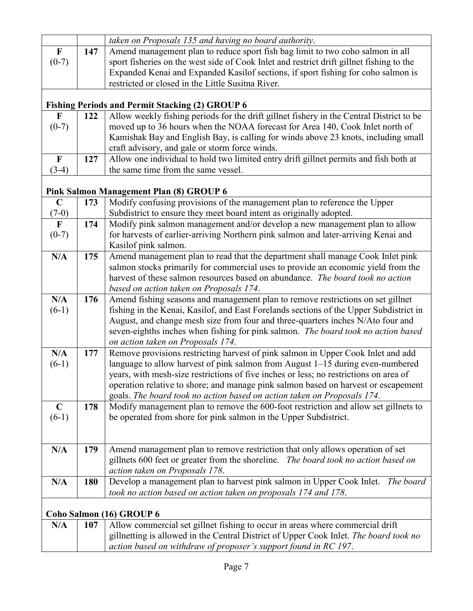|              |     | taken on Proposals 135 and having no board authority.                                    |
|--------------|-----|------------------------------------------------------------------------------------------|
| $\mathbf F$  | 147 | Amend management plan to reduce sport fish bag limit to two coho salmon in all           |
| $(0-7)$      |     | sport fisheries on the west side of Cook Inlet and restrict drift gillnet fishing to the |
|              |     | Expanded Kenai and Expanded Kasilof sections, if sport fishing for coho salmon is        |
|              |     | restricted or closed in the Little Susitna River.                                        |
|              |     |                                                                                          |
|              |     | <b>Fishing Periods and Permit Stacking (2) GROUP 6</b>                                   |
| F            | 122 | Allow weekly fishing periods for the drift gillnet fishery in the Central District to be |
| $(0-7)$      |     | moved up to 36 hours when the NOAA forecast for Area 140, Cook Inlet north of            |
|              |     | Kamishak Bay and English Bay, is calling for winds above 23 knots, including small       |
|              |     | craft advisory, and gale or storm force winds.                                           |
| $\mathbf F$  | 127 | Allow one individual to hold two limited entry drift gillnet permits and fish both at    |
| $(3-4)$      |     | the same time from the same vessel.                                                      |
|              |     |                                                                                          |
|              |     | Pink Salmon Management Plan (8) GROUP 6                                                  |
| $\mathbf C$  | 173 | Modify confusing provisions of the management plan to reference the Upper                |
| $(7-0)$      |     | Subdistrict to ensure they meet board intent as originally adopted.                      |
| $\mathbf{F}$ | 174 | Modify pink salmon management and/or develop a new management plan to allow              |
| $(0-7)$      |     | for harvests of earlier-arriving Northern pink salmon and later-arriving Kenai and       |
|              |     | Kasilof pink salmon.                                                                     |
| N/A          | 175 | Amend management plan to read that the department shall manage Cook Inlet pink           |
|              |     | salmon stocks primarily for commercial uses to provide an economic yield from the        |
|              |     | harvest of these salmon resources based on abundance. The board took no action           |
|              |     | based on action taken on Proposals 174.                                                  |
| N/A          | 176 | Amend fishing seasons and management plan to remove restrictions on set gillnet          |
| $(6-1)$      |     | fishing in the Kenai, Kasilof, and East Forelands sections of the Upper Subdistrict in   |
|              |     | August, and change mesh size from four and three-quarters inches N/Ato four and          |
|              |     | seven-eighths inches when fishing for pink salmon. The board took no action based        |
|              |     | on action taken on Proposals 174.                                                        |
| N/A          | 177 | Remove provisions restricting harvest of pink salmon in Upper Cook Inlet and add         |
| $(6-1)$      |     | language to allow harvest of pink salmon from August 1–15 during even-numbered           |
|              |     | years, with mesh-size restrictions of five inches or less; no restrictions on area of    |
|              |     | operation relative to shore; and manage pink salmon based on harvest or escapement       |
|              |     | goals. The board took no action based on action taken on Proposals 174.                  |
| $\mathbf C$  | 178 | Modify management plan to remove the 600-foot restriction and allow set gillnets to      |
| $(6-1)$      |     | be operated from shore for pink salmon in the Upper Subdistrict.                         |
|              |     |                                                                                          |
|              |     |                                                                                          |
| N/A          | 179 | Amend management plan to remove restriction that only allows operation of set            |
|              |     | gillnets 600 feet or greater from the shoreline. The board took no action based on       |
|              |     | action taken on Proposals 178.                                                           |
| N/A          | 180 | Develop a management plan to harvest pink salmon in Upper Cook Inlet. The board          |
|              |     | took no action based on action taken on proposals 174 and 178.                           |
|              |     |                                                                                          |
|              |     | Coho Salmon (16) GROUP 6                                                                 |
| N/A          | 107 | Allow commercial set gillnet fishing to occur in areas where commercial drift            |
|              |     | gillnetting is allowed in the Central District of Upper Cook Inlet. The board took no    |
|              |     | action based on withdraw of proposer's support found in RC 197.                          |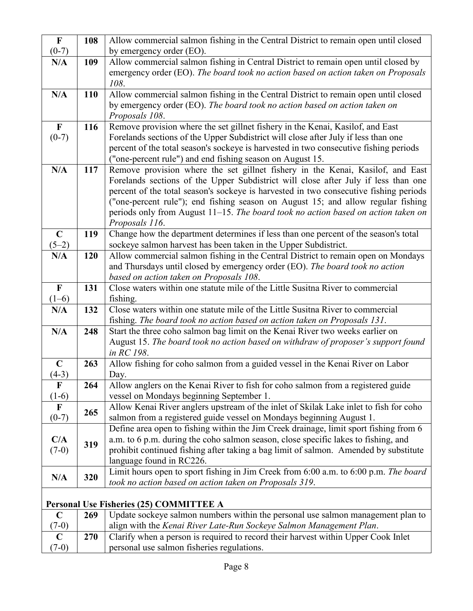| $\mathbf F$  | 108        | Allow commercial salmon fishing in the Central District to remain open until closed                                                                                   |
|--------------|------------|-----------------------------------------------------------------------------------------------------------------------------------------------------------------------|
| $(0-7)$      |            | by emergency order (EO).                                                                                                                                              |
| N/A          | 109        | Allow commercial salmon fishing in Central District to remain open until closed by                                                                                    |
|              |            | emergency order (EO). The board took no action based on action taken on Proposals<br>108.                                                                             |
| N/A          | <b>110</b> | Allow commercial salmon fishing in the Central District to remain open until closed                                                                                   |
|              |            | by emergency order (EO). The board took no action based on action taken on<br>Proposals 108.                                                                          |
| $\mathbf{F}$ | 116        | Remove provision where the set gillnet fishery in the Kenai, Kasilof, and East                                                                                        |
| $(0-7)$      |            | Forelands sections of the Upper Subdistrict will close after July if less than one                                                                                    |
|              |            | percent of the total season's sockeye is harvested in two consecutive fishing periods                                                                                 |
|              |            | ("one-percent rule") and end fishing season on August 15.                                                                                                             |
| N/A          | 117        | Remove provision where the set gillnet fishery in the Kenai, Kasilof, and East                                                                                        |
|              |            | Forelands sections of the Upper Subdistrict will close after July if less than one                                                                                    |
|              |            | percent of the total season's sockeye is harvested in two consecutive fishing periods                                                                                 |
|              |            | ("one-percent rule"); end fishing season on August 15; and allow regular fishing<br>periods only from August 11–15. The board took no action based on action taken on |
|              |            | Proposals 116.                                                                                                                                                        |
| $\mathbf C$  | 119        | Change how the department determines if less than one percent of the season's total                                                                                   |
| $(5-2)$      |            | sockeye salmon harvest has been taken in the Upper Subdistrict.                                                                                                       |
| N/A          | 120        | Allow commercial salmon fishing in the Central District to remain open on Mondays                                                                                     |
|              |            | and Thursdays until closed by emergency order (EO). The board took no action                                                                                          |
|              |            | based on action taken on Proposals 108.                                                                                                                               |
| $\mathbf F$  | 131        | Close waters within one statute mile of the Little Susitna River to commercial                                                                                        |
| $(1-6)$      |            | fishing.                                                                                                                                                              |
| N/A          | 132        | Close waters within one statute mile of the Little Susitna River to commercial                                                                                        |
|              |            | fishing. The board took no action based on action taken on Proposals 131.                                                                                             |
| N/A          | 248        | Start the three coho salmon bag limit on the Kenai River two weeks earlier on                                                                                         |
|              |            | August 15. The board took no action based on withdraw of proposer's support found<br>in RC 198.                                                                       |
| $\mathbf C$  | 263        | Allow fishing for coho salmon from a guided vessel in the Kenai River on Labor                                                                                        |
| $(4-3)$      |            | Day.                                                                                                                                                                  |
| F            | 264        | Allow anglers on the Kenai River to fish for coho salmon from a registered guide                                                                                      |
| $(1-6)$      |            | vessel on Mondays beginning September 1.                                                                                                                              |
| $\mathbf F$  | 265        | Allow Kenai River anglers upstream of the inlet of Skilak Lake inlet to fish for coho                                                                                 |
| $(0-7)$      |            | salmon from a registered guide vessel on Mondays beginning August 1.                                                                                                  |
|              |            | Define area open to fishing within the Jim Creek drainage, limit sport fishing from 6                                                                                 |
| C/A          | 319        | a.m. to 6 p.m. during the coho salmon season, close specific lakes to fishing, and                                                                                    |
| $(7-0)$      |            | prohibit continued fishing after taking a bag limit of salmon. Amended by substitute                                                                                  |
|              |            | language found in RC226.                                                                                                                                              |
| N/A          | 320        | Limit hours open to sport fishing in Jim Creek from 6:00 a.m. to 6:00 p.m. The board                                                                                  |
|              |            | took no action based on action taken on Proposals 319.                                                                                                                |
|              |            |                                                                                                                                                                       |
|              |            | <b>Personal Use Fisheries (25) COMMITTEE A</b><br>$\overline{\mathbf{u}}$ $\mathbf{u}$                                                                                |

|         | 269        | Update sockeye salmon numbers within the personal use salmon management plan to   |
|---------|------------|-----------------------------------------------------------------------------------|
| $(7-0)$ |            | align with the Kenai River Late-Run Sockeye Salmon Management Plan.               |
|         | <b>270</b> | Clarify when a person is required to record their harvest within Upper Cook Inlet |
| $(7-0)$ |            | personal use salmon fisheries regulations.                                        |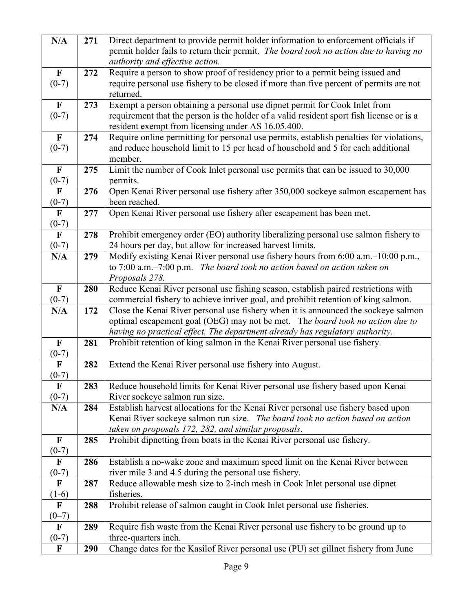| N/A          | 271 | Direct department to provide permit holder information to enforcement officials if       |
|--------------|-----|------------------------------------------------------------------------------------------|
|              |     | permit holder fails to return their permit. The board took no action due to having no    |
|              |     | authority and effective action.                                                          |
| $\mathbf{F}$ | 272 | Require a person to show proof of residency prior to a permit being issued and           |
| $(0-7)$      |     | require personal use fishery to be closed if more than five percent of permits are not   |
|              |     | returned.                                                                                |
| $\mathbf{F}$ | 273 | Exempt a person obtaining a personal use dipnet permit for Cook Inlet from               |
| $(0-7)$      |     | requirement that the person is the holder of a valid resident sport fish license or is a |
|              |     | resident exempt from licensing under AS 16.05.400.                                       |
| $\mathbf{F}$ | 274 | Require online permitting for personal use permits, establish penalties for violations,  |
| $(0-7)$      |     | and reduce household limit to 15 per head of household and 5 for each additional         |
|              |     | member.                                                                                  |
| $\mathbf F$  | 275 | Limit the number of Cook Inlet personal use permits that can be issued to 30,000         |
| $(0-7)$      |     | permits.                                                                                 |
| $\mathbf{F}$ | 276 | Open Kenai River personal use fishery after 350,000 sockeye salmon escapement has        |
| $(0-7)$      |     | been reached.                                                                            |
| $\mathbf{F}$ | 277 | Open Kenai River personal use fishery after escapement has been met.                     |
| $(0-7)$      |     |                                                                                          |
| $\mathbf{F}$ | 278 | Prohibit emergency order (EO) authority liberalizing personal use salmon fishery to      |
| $(0-7)$      |     | 24 hours per day, but allow for increased harvest limits.                                |
| N/A          | 279 | Modify existing Kenai River personal use fishery hours from 6:00 a.m.–10:00 p.m.,        |
|              |     | to $7:00$ a.m. $-7:00$ p.m. The board took no action based on action taken on            |
|              |     | Proposals 278.                                                                           |
| $\mathbf{F}$ | 280 | Reduce Kenai River personal use fishing season, establish paired restrictions with       |
| $(0-7)$      |     | commercial fishery to achieve inriver goal, and prohibit retention of king salmon.       |
| N/A          | 172 | Close the Kenai River personal use fishery when it is announced the sockeye salmon       |
|              |     | optimal escapement goal (OEG) may not be met. The board took no action due to            |
|              |     | having no practical effect. The department already has regulatory authority.             |
| $\mathbf{F}$ | 281 | Prohibit retention of king salmon in the Kenai River personal use fishery.               |
| $(0-7)$      |     |                                                                                          |
| $\mathbf F$  | 282 | Extend the Kenai River personal use fishery into August.                                 |
| $(0-7)$      |     |                                                                                          |
| $\mathbf F$  | 283 | Reduce household limits for Kenai River personal use fishery based upon Kenai            |
| $(0-7)$      |     | River sockeye salmon run size.                                                           |
| N/A          | 284 | Establish harvest allocations for the Kenai River personal use fishery based upon        |
|              |     | Kenai River sockeye salmon run size. The board took no action based on action            |
|              |     | taken on proposals 172, 282, and similar proposals.                                      |
| $\mathbf F$  | 285 | Prohibit dipnetting from boats in the Kenai River personal use fishery.                  |
| $(0-7)$      |     |                                                                                          |
| $\mathbf F$  | 286 | Establish a no-wake zone and maximum speed limit on the Kenai River between              |
| $(0-7)$      |     | river mile 3 and 4.5 during the personal use fishery.                                    |
| $\mathbf F$  | 287 | Reduce allowable mesh size to 2-inch mesh in Cook Inlet personal use dipnet              |
| $(1-6)$      |     | fisheries.                                                                               |
| $\mathbf F$  | 288 | Prohibit release of salmon caught in Cook Inlet personal use fisheries.                  |
| $(0-7)$      |     |                                                                                          |
| $\mathbf F$  | 289 | Require fish waste from the Kenai River personal use fishery to be ground up to          |
| $(0-7)$      |     | three-quarters inch.                                                                     |
| $\mathbf F$  | 290 | Change dates for the Kasilof River personal use (PU) set gillnet fishery from June       |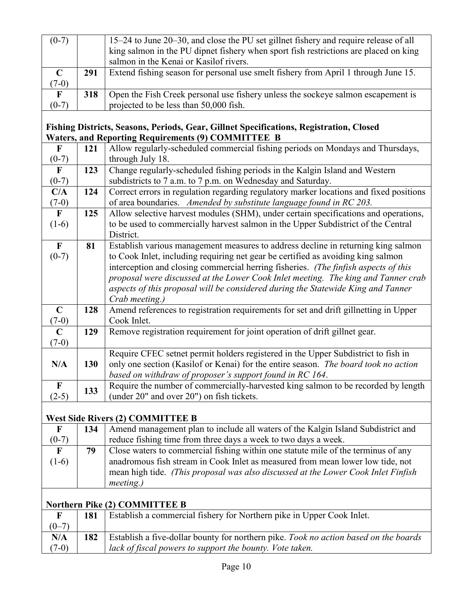| $(0-7)$      |     | 15–24 to June 20–30, and close the PU set gillnet fishery and require release of all |
|--------------|-----|--------------------------------------------------------------------------------------|
|              |     | king salmon in the PU dipnet fishery when sport fish restrictions are placed on king |
|              |     | salmon in the Kenai or Kasilof rivers.                                               |
| $\mathbf C$  | 291 | Extend fishing season for personal use smelt fishery from April 1 through June 15.   |
| $(7-0)$      |     |                                                                                      |
| $\mathbf{F}$ | 318 | Open the Fish Creek personal use fishery unless the sockeye salmon escapement is     |
| $(0-7)$      |     | projected to be less than 50,000 fish.                                               |

# **Fishing Districts, Seasons, Periods, Gear, Gillnet Specifications, Registration, Closed Waters, and Reporting Requirements (9) COMMITTEE B**

| $\mathbf{F}$<br>$(0-7)$<br>$\mathbf F$<br>$(0-7)$<br>C/A<br>$(7-0)$<br>$\mathbf{F}$<br>$(1-6)$<br>$\mathbf{F}$<br>$(0-7)$ | 121<br>123<br>124<br>125<br>81 | Allow regularly-scheduled commercial fishing periods on Mondays and Thursdays,<br>through July 18.<br>Change regularly-scheduled fishing periods in the Kalgin Island and Western<br>subdistricts to 7 a.m. to 7 p.m. on Wednesday and Saturday.<br>Correct errors in regulation regarding regulatory marker locations and fixed positions<br>of area boundaries. Amended by substitute language found in RC 203.<br>Allow selective harvest modules (SHM), under certain specifications and operations,<br>to be used to commercially harvest salmon in the Upper Subdistrict of the Central<br>District.<br>Establish various management measures to address decline in returning king salmon |
|---------------------------------------------------------------------------------------------------------------------------|--------------------------------|-------------------------------------------------------------------------------------------------------------------------------------------------------------------------------------------------------------------------------------------------------------------------------------------------------------------------------------------------------------------------------------------------------------------------------------------------------------------------------------------------------------------------------------------------------------------------------------------------------------------------------------------------------------------------------------------------|
|                                                                                                                           |                                |                                                                                                                                                                                                                                                                                                                                                                                                                                                                                                                                                                                                                                                                                                 |
|                                                                                                                           |                                |                                                                                                                                                                                                                                                                                                                                                                                                                                                                                                                                                                                                                                                                                                 |
|                                                                                                                           |                                |                                                                                                                                                                                                                                                                                                                                                                                                                                                                                                                                                                                                                                                                                                 |
|                                                                                                                           |                                |                                                                                                                                                                                                                                                                                                                                                                                                                                                                                                                                                                                                                                                                                                 |
|                                                                                                                           |                                |                                                                                                                                                                                                                                                                                                                                                                                                                                                                                                                                                                                                                                                                                                 |
|                                                                                                                           |                                |                                                                                                                                                                                                                                                                                                                                                                                                                                                                                                                                                                                                                                                                                                 |
|                                                                                                                           |                                |                                                                                                                                                                                                                                                                                                                                                                                                                                                                                                                                                                                                                                                                                                 |
|                                                                                                                           |                                |                                                                                                                                                                                                                                                                                                                                                                                                                                                                                                                                                                                                                                                                                                 |
|                                                                                                                           |                                |                                                                                                                                                                                                                                                                                                                                                                                                                                                                                                                                                                                                                                                                                                 |
|                                                                                                                           |                                |                                                                                                                                                                                                                                                                                                                                                                                                                                                                                                                                                                                                                                                                                                 |
|                                                                                                                           |                                | to Cook Inlet, including requiring net gear be certified as avoiding king salmon                                                                                                                                                                                                                                                                                                                                                                                                                                                                                                                                                                                                                |
|                                                                                                                           |                                | interception and closing commercial herring fisheries. (The finfish aspects of this                                                                                                                                                                                                                                                                                                                                                                                                                                                                                                                                                                                                             |
|                                                                                                                           |                                | proposal were discussed at the Lower Cook Inlet meeting. The king and Tanner crab                                                                                                                                                                                                                                                                                                                                                                                                                                                                                                                                                                                                               |
|                                                                                                                           |                                | aspects of this proposal will be considered during the Statewide King and Tanner                                                                                                                                                                                                                                                                                                                                                                                                                                                                                                                                                                                                                |
|                                                                                                                           |                                | Crab meeting.)                                                                                                                                                                                                                                                                                                                                                                                                                                                                                                                                                                                                                                                                                  |
| $\mathbf C$                                                                                                               | 128                            | Amend references to registration requirements for set and drift gillnetting in Upper                                                                                                                                                                                                                                                                                                                                                                                                                                                                                                                                                                                                            |
| $(7-0)$                                                                                                                   |                                | Cook Inlet.                                                                                                                                                                                                                                                                                                                                                                                                                                                                                                                                                                                                                                                                                     |
| $\mathbf C$                                                                                                               | 129                            | Remove registration requirement for joint operation of drift gillnet gear.                                                                                                                                                                                                                                                                                                                                                                                                                                                                                                                                                                                                                      |
| $(7-0)$                                                                                                                   |                                |                                                                                                                                                                                                                                                                                                                                                                                                                                                                                                                                                                                                                                                                                                 |
|                                                                                                                           |                                | Require CFEC setnet permit holders registered in the Upper Subdistrict to fish in                                                                                                                                                                                                                                                                                                                                                                                                                                                                                                                                                                                                               |
| N/A                                                                                                                       | 130                            | only one section (Kasilof or Kenai) for the entire season. The board took no action                                                                                                                                                                                                                                                                                                                                                                                                                                                                                                                                                                                                             |
|                                                                                                                           |                                | based on withdraw of proposer's support found in RC 164.                                                                                                                                                                                                                                                                                                                                                                                                                                                                                                                                                                                                                                        |
| $\mathbf{F}$                                                                                                              |                                | Require the number of commercially-harvested king salmon to be recorded by length                                                                                                                                                                                                                                                                                                                                                                                                                                                                                                                                                                                                               |
| $(2-5)$                                                                                                                   | 133                            | (under 20" and over 20") on fish tickets.                                                                                                                                                                                                                                                                                                                                                                                                                                                                                                                                                                                                                                                       |
|                                                                                                                           |                                |                                                                                                                                                                                                                                                                                                                                                                                                                                                                                                                                                                                                                                                                                                 |

# **West Side Rivers (2) COMMITTEE B**

| $\mathbf F$ | 134 | Amend management plan to include all waters of the Kalgin Island Subdistrict and  |
|-------------|-----|-----------------------------------------------------------------------------------|
| $(0-7)$     |     | reduce fishing time from three days a week to two days a week.                    |
| F           | 79  | Close waters to commercial fishing within one statute mile of the terminus of any |
| $(1-6)$     |     | anadromous fish stream in Cook Inlet as measured from mean lower low tide, not    |
|             |     | mean high tide. (This proposal was also discussed at the Lower Cook Inlet Finfish |
|             |     | $meeting.$ )                                                                      |

# **Northern Pike (2) COMMITTEE B**

|         | 181 | Establish a commercial fishery for Northern pike in Upper Cook Inlet.                       |
|---------|-----|---------------------------------------------------------------------------------------------|
| $(0-7)$ |     |                                                                                             |
| N/A     | 182 | <b>Establish a five-dollar bounty for northern pike.</b> Took no action based on the boards |
| $(7-0)$ |     | lack of fiscal powers to support the bounty. Vote taken.                                    |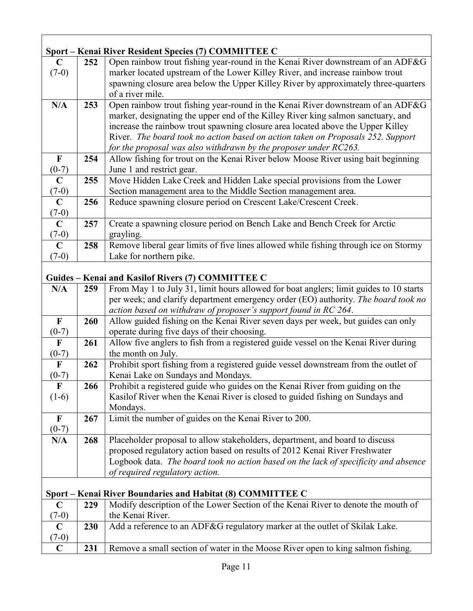| Sport – Kenai River Resident Species (7) COMMITTEE C |     |                                                                                        |  |
|------------------------------------------------------|-----|----------------------------------------------------------------------------------------|--|
| $\mathbf C$                                          | 252 | Open rainbow trout fishing year-round in the Kenai River downstream of an ADF&G        |  |
| $(7-0)$                                              |     | marker located upstream of the Lower Killey River, and increase rainbow trout          |  |
|                                                      |     | spawning closure area below the Upper Killey River by approximately three-quarters     |  |
|                                                      |     | of a river mile.                                                                       |  |
| N/A                                                  | 253 | Open rainbow trout fishing year-round in the Kenai River downstream of an ADF&G        |  |
|                                                      |     | marker, designating the upper end of the Killey River king salmon sanctuary, and       |  |
|                                                      |     | increase the rainbow trout spawning closure area located above the Upper Killey        |  |
|                                                      |     | River. The board took no action based on action taken on Proposals 252. Support        |  |
|                                                      |     | for the proposal was also withdrawn by the proposer under RC263.                       |  |
| $\mathbf{F}$                                         | 254 | Allow fishing for trout on the Kenai River below Moose River using bait beginning      |  |
| $(0-7)$                                              |     | June 1 and restrict gear.                                                              |  |
| $\mathbf C$                                          | 255 | Move Hidden Lake Creek and Hidden Lake special provisions from the Lower               |  |
| $(7-0)$                                              |     | Section management area to the Middle Section management area.                         |  |
| $\mathbf C$                                          | 256 | Reduce spawning closure period on Crescent Lake/Crescent Creek.                        |  |
| $(7-0)$                                              |     |                                                                                        |  |
| $\mathbf C$                                          | 257 | Create a spawning closure period on Bench Lake and Bench Creek for Arctic              |  |
| $(7-0)$                                              |     | grayling.                                                                              |  |
| $\mathbf C$                                          | 258 | Remove liberal gear limits of five lines allowed while fishing through ice on Stormy   |  |
| $(7-0)$                                              |     | Lake for northern pike.                                                                |  |
|                                                      |     |                                                                                        |  |
| Guides - Kenai and Kasilof Rivers (7) COMMITTEE C    |     |                                                                                        |  |
| N/A                                                  | 259 | From May 1 to July 31, limit hours allowed for boat anglers; limit guides to 10 starts |  |
|                                                      |     | per week; and clarify department emergency order (EO) authority. The board took no     |  |
|                                                      |     | action based on withdraw of proposer's support found in RC 264.                        |  |
| $\mathbf F$                                          | 260 | Allow guided fishing on the Kenai River seven days per week, but guides can only       |  |
| $(0-7)$                                              |     | operate during five days of their choosing.                                            |  |
| $\mathbf{F}$                                         | 261 | Allow five anglers to fish from a registered guide vessel on the Kenai River during    |  |
| $(0-7)$                                              |     | the month on July.                                                                     |  |
| $\boldsymbol{\mathrm{F}}$                            | 262 | Prohibit sport fishing from a registered guide vessel downstream from the outlet of    |  |
| $(0-7)$                                              |     | Kenai Lake on Sundays and Mondays.                                                     |  |
| F                                                    | 266 | Prohibit a registered guide who guides on the Kenai River from guiding on the          |  |
| $(1-6)$                                              |     | Kasilof River when the Kenai River is closed to guided fishing on Sundays and          |  |
|                                                      |     | Mondays.                                                                               |  |
| $\mathbf{F}$                                         | 267 | Limit the number of guides on the Kenai River to 200.                                  |  |
| $(0-7)$                                              |     |                                                                                        |  |
| N/A                                                  | 268 | Placeholder proposal to allow stakeholders, department, and board to discuss           |  |
|                                                      |     | proposed regulatory action based on results of 2012 Kenai River Freshwater             |  |
|                                                      |     | Logbook data. The board took no action based on the lack of specificity and absence    |  |
|                                                      |     | of required regulatory action.                                                         |  |
|                                                      |     | Sport – Kenai River Boundaries and Habitat (8) COMMITTEE C                             |  |
| $\mathbf C$                                          | 229 | Modify description of the Lower Section of the Kenai River to denote the mouth of      |  |
| $(7-0)$                                              |     | the Kenai River.                                                                       |  |
| $\mathbf C$                                          | 230 | Add a reference to an ADF&G regulatory marker at the outlet of Skilak Lake.            |  |
| $(7-0)$                                              |     |                                                                                        |  |
| $\mathbf C$                                          | 231 | Remove a small section of water in the Moose River open to king salmon fishing.        |  |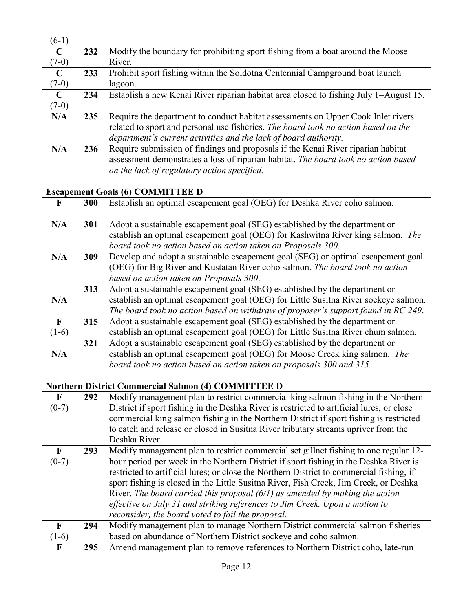| $(6-1)$      |     |                                                                                                                                                 |
|--------------|-----|-------------------------------------------------------------------------------------------------------------------------------------------------|
| $\mathbf C$  | 232 | Modify the boundary for prohibiting sport fishing from a boat around the Moose                                                                  |
| $(7-0)$      |     | River.                                                                                                                                          |
| $\mathbf C$  | 233 | Prohibit sport fishing within the Soldotna Centennial Campground boat launch                                                                    |
| $(7-0)$      |     | lagoon.                                                                                                                                         |
| $\mathbf C$  | 234 | Establish a new Kenai River riparian habitat area closed to fishing July 1-August 15.                                                           |
| $(7-0)$      |     |                                                                                                                                                 |
| N/A          | 235 | Require the department to conduct habitat assessments on Upper Cook Inlet rivers                                                                |
|              |     | related to sport and personal use fisheries. The board took no action based on the                                                              |
|              |     | department's current activities and the lack of board authority.                                                                                |
| N/A          | 236 | Require submission of findings and proposals if the Kenai River riparian habitat                                                                |
|              |     | assessment demonstrates a loss of riparian habitat. The board took no action based                                                              |
|              |     | on the lack of regulatory action specified.                                                                                                     |
|              |     |                                                                                                                                                 |
|              |     | <b>Escapement Goals (6) COMMITTEE D</b>                                                                                                         |
| $\mathbf{F}$ | 300 | Establish an optimal escapement goal (OEG) for Deshka River coho salmon.                                                                        |
| N/A          | 301 | Adopt a sustainable escapement goal (SEG) established by the department or                                                                      |
|              |     | establish an optimal escapement goal (OEG) for Kashwitna River king salmon. The                                                                 |
|              |     | board took no action based on action taken on Proposals 300.                                                                                    |
| N/A          | 309 | Develop and adopt a sustainable escapement goal (SEG) or optimal escapement goal                                                                |
|              |     | (OEG) for Big River and Kustatan River coho salmon. The board took no action                                                                    |
|              |     | based on action taken on Proposals 300.                                                                                                         |
|              | 313 | Adopt a sustainable escapement goal (SEG) established by the department or                                                                      |
| N/A          |     | establish an optimal escapement goal (OEG) for Little Susitna River sockeye salmon.                                                             |
|              |     | The board took no action based on withdraw of proposer's support found in RC 249.                                                               |
| $\mathbf F$  | 315 | Adopt a sustainable escapement goal (SEG) established by the department or                                                                      |
| $(1-6)$      |     | establish an optimal escapement goal (OEG) for Little Susitna River chum salmon.                                                                |
|              | 321 | Adopt a sustainable escapement goal (SEG) established by the department or                                                                      |
| N/A          |     | establish an optimal escapement goal (OEG) for Moose Creek king salmon. The                                                                     |
|              |     | board took no action based on action taken on proposals 300 and 315.                                                                            |
|              |     |                                                                                                                                                 |
| $\mathbf F$  | 292 | <b>Northern District Commercial Salmon (4) COMMITTEE D</b><br>Modify management plan to restrict commercial king salmon fishing in the Northern |
| $(0-7)$      |     | District if sport fishing in the Deshka River is restricted to artificial lures, or close                                                       |
|              |     | commercial king salmon fishing in the Northern District if sport fishing is restricted                                                          |
|              |     | to catch and release or closed in Susitna River tributary streams upriver from the                                                              |
|              |     | Deshka River.                                                                                                                                   |
| $\mathbf F$  | 293 | Modify management plan to restrict commercial set gillnet fishing to one regular 12-                                                            |
| $(0-7)$      |     | hour period per week in the Northern District if sport fishing in the Deshka River is                                                           |
|              |     | restricted to artificial lures; or close the Northern District to commercial fishing, if                                                        |
|              |     | sport fishing is closed in the Little Susitna River, Fish Creek, Jim Creek, or Deshka                                                           |
|              |     | River. The board carried this proposal $(6/1)$ as amended by making the action                                                                  |
|              |     | effective on July 31 and striking references to Jim Creek. Upon a motion to                                                                     |
|              |     | reconsider, the board voted to fail the proposal.                                                                                               |
| $\mathbf F$  | 294 | Modify management plan to manage Northern District commercial salmon fisheries                                                                  |
| $(1-6)$      |     | based on abundance of Northern District sockeye and coho salmon.                                                                                |
| $\mathbf F$  | 295 | Amend management plan to remove references to Northern District coho, late-run                                                                  |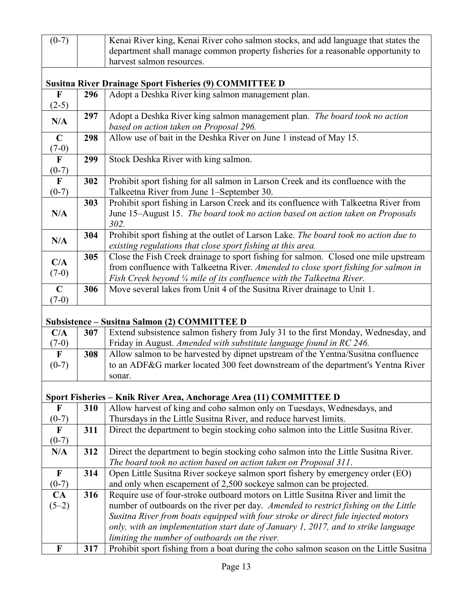| $(0-7)$                 |     | Kenai River king, Kenai River coho salmon stocks, and add language that states the                                                                |
|-------------------------|-----|---------------------------------------------------------------------------------------------------------------------------------------------------|
|                         |     | department shall manage common property fisheries for a reasonable opportunity to                                                                 |
|                         |     | harvest salmon resources.                                                                                                                         |
|                         |     |                                                                                                                                                   |
|                         |     | <b>Susitna River Drainage Sport Fisheries (9) COMMITTEE D</b>                                                                                     |
| $\mathbf{F}$<br>$(2-5)$ | 296 | Adopt a Deshka River king salmon management plan.                                                                                                 |
|                         | 297 | Adopt a Deshka River king salmon management plan. The board took no action                                                                        |
| N/A                     |     | based on action taken on Proposal 296.                                                                                                            |
| $\mathbf C$             | 298 | Allow use of bait in the Deshka River on June 1 instead of May 15.                                                                                |
| $(7-0)$                 |     |                                                                                                                                                   |
| $\mathbf{F}$            | 299 | Stock Deshka River with king salmon.                                                                                                              |
| $(0-7)$                 |     |                                                                                                                                                   |
| $\mathbf F$             | 302 | Prohibit sport fishing for all salmon in Larson Creek and its confluence with the                                                                 |
| $(0-7)$                 |     | Talkeetna River from June 1-September 30.                                                                                                         |
|                         | 303 | Prohibit sport fishing in Larson Creek and its confluence with Talkeetna River from                                                               |
| N/A                     |     | June 15-August 15. The board took no action based on action taken on Proposals                                                                    |
|                         |     | 302.                                                                                                                                              |
| N/A                     | 304 | Prohibit sport fishing at the outlet of Larson Lake. The board took no action due to                                                              |
|                         |     | existing regulations that close sport fishing at this area.                                                                                       |
| C/A                     | 305 | Close the Fish Creek drainage to sport fishing for salmon. Closed one mile upstream                                                               |
| $(7-0)$                 |     | from confluence with Talkeetna River. Amended to close sport fishing for salmon in                                                                |
| $\mathbf C$             | 306 | Fish Creek beyond 1/4 mile of its confluence with the Talkeetna River.<br>Move several lakes from Unit 4 of the Susitna River drainage to Unit 1. |
| $(7-0)$                 |     |                                                                                                                                                   |
|                         |     |                                                                                                                                                   |
|                         |     | <b>Subsistence - Susitna Salmon (2) COMMITTEE D</b>                                                                                               |
| C/A                     | 307 | Extend subsistence salmon fishery from July 31 to the first Monday, Wednesday, and                                                                |
| $(7-0)$                 |     | Friday in August. Amended with substitute language found in RC 246.                                                                               |
| $\mathbf F$             | 308 | Allow salmon to be harvested by dipnet upstream of the Yentna/Susitna confluence                                                                  |
| $(0-7)$                 |     | to an ADF&G marker located 300 feet downstream of the department's Yentna River                                                                   |
|                         |     | sonar.                                                                                                                                            |
|                         |     |                                                                                                                                                   |
|                         |     | Sport Fisheries - Knik River Area, Anchorage Area (11) COMMITTEE D                                                                                |
| $\mathbf F$             | 310 | Allow harvest of king and coho salmon only on Tuesdays, Wednesdays, and                                                                           |
| $(0-7)$                 |     | Thursdays in the Little Susitna River, and reduce harvest limits.                                                                                 |
| $\mathbf F$             | 311 | Direct the department to begin stocking coho salmon into the Little Susitna River.                                                                |
| $(0-7)$                 |     |                                                                                                                                                   |
| N/A                     | 312 | Direct the department to begin stocking coho salmon into the Little Susitna River.                                                                |
| $\mathbf F$             | 314 | The board took no action based on action taken on Proposal 311.<br>Open Little Susitna River sockeye salmon sport fishery by emergency order (EO) |
| $(0-7)$                 |     | and only when escapement of 2,500 sockeye salmon can be projected.                                                                                |
| CA                      | 316 | Require use of four-stroke outboard motors on Little Susitna River and limit the                                                                  |
| $(5-2)$                 |     | number of outboards on the river per day. Amended to restrict fishing on the Little                                                               |
|                         |     | Susitna River from boats equipped with four stroke or direct fule injected motors                                                                 |
|                         |     | only, with an implementation start date of January 1, 2017, and to strike language                                                                |
|                         |     | limiting the number of outboards on the river.                                                                                                    |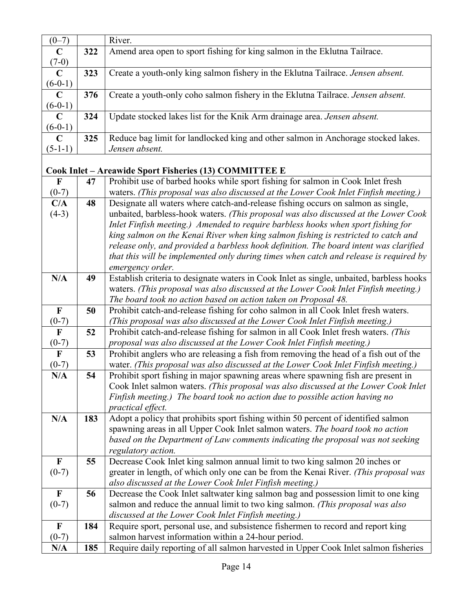| $(0-7)$                   |     | River.                                                                                                                                                                          |
|---------------------------|-----|---------------------------------------------------------------------------------------------------------------------------------------------------------------------------------|
| $\mathbf C$               | 322 | Amend area open to sport fishing for king salmon in the Eklutna Tailrace.                                                                                                       |
| $(7-0)$                   |     |                                                                                                                                                                                 |
| $\mathbf C$               | 323 | Create a youth-only king salmon fishery in the Eklutna Tailrace. Jensen absent.                                                                                                 |
| $(6-0-1)$                 |     |                                                                                                                                                                                 |
| $\mathbf C$               | 376 | Create a youth-only coho salmon fishery in the Eklutna Tailrace. Jensen absent.                                                                                                 |
| $(6-0-1)$                 |     |                                                                                                                                                                                 |
| $\mathbf C$               | 324 | Update stocked lakes list for the Knik Arm drainage area. Jensen absent.                                                                                                        |
| $(6-0-1)$                 |     |                                                                                                                                                                                 |
| $\mathbf C$               | 325 | Reduce bag limit for landlocked king and other salmon in Anchorage stocked lakes.                                                                                               |
| $(5-1-1)$                 |     | Jensen absent.                                                                                                                                                                  |
|                           |     |                                                                                                                                                                                 |
|                           |     | Cook Inlet – Areawide Sport Fisheries (13) COMMITTEE E                                                                                                                          |
| $\mathbf{F}$              | 47  | Prohibit use of barbed hooks while sport fishing for salmon in Cook Inlet fresh                                                                                                 |
| $(0-7)$                   |     | waters. (This proposal was also discussed at the Lower Cook Inlet Finfish meeting.)                                                                                             |
| C/A                       | 48  | Designate all waters where catch-and-release fishing occurs on salmon as single,                                                                                                |
| $(4-3)$                   |     | unbaited, barbless-hook waters. (This proposal was also discussed at the Lower Cook                                                                                             |
|                           |     | Inlet Finfish meeting.) Amended to require barbless hooks when sport fishing for                                                                                                |
|                           |     | king salmon on the Kenai River when king salmon fishing is restricted to catch and                                                                                              |
|                           |     | release only, and provided a barbless hook definition. The board intent was clarified                                                                                           |
|                           |     | that this will be implemented only during times when catch and release is required by                                                                                           |
| N/A                       |     | emergency order.                                                                                                                                                                |
|                           | 49  | Establish criteria to designate waters in Cook Inlet as single, unbaited, barbless hooks<br>waters. (This proposal was also discussed at the Lower Cook Inlet Finfish meeting.) |
|                           |     | The board took no action based on action taken on Proposal 48.                                                                                                                  |
| $\mathbf F$               | 50  | Prohibit catch-and-release fishing for coho salmon in all Cook Inlet fresh waters.                                                                                              |
| $(0-7)$                   |     | (This proposal was also discussed at the Lower Cook Inlet Finfish meeting.)                                                                                                     |
| $\mathbf F$               | 52  | Prohibit catch-and-release fishing for salmon in all Cook Inlet fresh waters. (This                                                                                             |
| $(0-7)$                   |     | proposal was also discussed at the Lower Cook Inlet Finfish meeting.)                                                                                                           |
| $\mathbf{F}$              | 53  | Prohibit anglers who are releasing a fish from removing the head of a fish out of the                                                                                           |
| $(0-7)$                   |     | water. (This proposal was also discussed at the Lower Cook Inlet Finfish meeting.)                                                                                              |
| N/A                       | 54  | Prohibit sport fishing in major spawning areas where spawning fish are present in                                                                                               |
|                           |     | Cook Inlet salmon waters. (This proposal was also discussed at the Lower Cook Inlet                                                                                             |
|                           |     | Finfish meeting.) The board took no action due to possible action having no                                                                                                     |
|                           |     | <i>practical effect.</i>                                                                                                                                                        |
| N/A                       | 183 | Adopt a policy that prohibits sport fishing within 50 percent of identified salmon                                                                                              |
|                           |     | spawning areas in all Upper Cook Inlet salmon waters. The board took no action                                                                                                  |
|                           |     | based on the Department of Law comments indicating the proposal was not seeking                                                                                                 |
|                           |     | regulatory action.                                                                                                                                                              |
| $\boldsymbol{\mathrm{F}}$ | 55  | Decrease Cook Inlet king salmon annual limit to two king salmon 20 inches or                                                                                                    |
| $(0-7)$                   |     | greater in length, of which only one can be from the Kenai River. (This proposal was                                                                                            |
|                           |     | also discussed at the Lower Cook Inlet Finfish meeting.)                                                                                                                        |
| $\boldsymbol{\mathrm{F}}$ | 56  | Decrease the Cook Inlet saltwater king salmon bag and possession limit to one king                                                                                              |
| $(0-7)$                   |     | salmon and reduce the annual limit to two king salmon. (This proposal was also                                                                                                  |
|                           |     | discussed at the Lower Cook Inlet Finfish meeting.)                                                                                                                             |
| $\mathbf F$               | 184 | Require sport, personal use, and subsistence fishermen to record and report king                                                                                                |
| $(0-7)$                   |     | salmon harvest information within a 24-hour period.                                                                                                                             |
| N/A                       | 185 | Require daily reporting of all salmon harvested in Upper Cook Inlet salmon fisheries                                                                                            |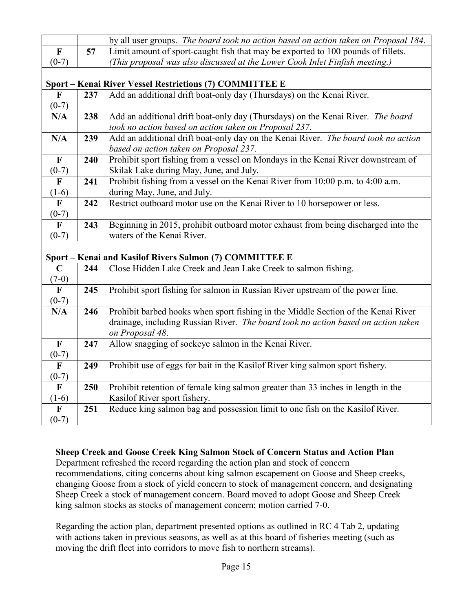|                         |     | by all user groups. The board took no action based on action taken on Proposal 184. |
|-------------------------|-----|-------------------------------------------------------------------------------------|
| $\mathbf F$             | 57  | Limit amount of sport-caught fish that may be exported to 100 pounds of fillets.    |
| $(0-7)$                 |     | (This proposal was also discussed at the Lower Cook Inlet Finfish meeting.)         |
|                         |     |                                                                                     |
|                         |     | Sport - Kenai River Vessel Restrictions (7) COMMITTEE E                             |
| $\mathbf{F}$            | 237 | Add an additional drift boat-only day (Thursdays) on the Kenai River.               |
| $(0-7)$                 |     |                                                                                     |
| N/A                     | 238 | Add an additional drift boat-only day (Thursdays) on the Kenai River. The board     |
|                         |     | took no action based on action taken on Proposal 237.                               |
| N/A                     | 239 | Add an additional drift boat-only day on the Kenai River. The board took no action  |
|                         |     | based on action taken on Proposal 237.                                              |
| $\mathbf{F}$            | 240 | Prohibit sport fishing from a vessel on Mondays in the Kenai River downstream of    |
| $(0-7)$                 |     | Skilak Lake during May, June, and July.                                             |
| $\overline{F}$          | 241 | Prohibit fishing from a vessel on the Kenai River from 10:00 p.m. to 4:00 a.m.      |
| $(1-6)$                 |     | during May, June, and July.                                                         |
| $\mathbf F$             | 242 | Restrict outboard motor use on the Kenai River to 10 horsepower or less.            |
| $(0-7)$                 |     |                                                                                     |
| $\mathbf{F}$            | 243 | Beginning in 2015, prohibit outboard motor exhaust from being discharged into the   |
| $(0-7)$                 |     | waters of the Kenai River.                                                          |
|                         |     |                                                                                     |
|                         |     | Sport – Kenai and Kasilof Rivers Salmon (7) COMMITTEE E                             |
| $\mathbf C$             | 244 | Close Hidden Lake Creek and Jean Lake Creek to salmon fishing.                      |
| $\frac{(7-0)}{F}$       |     |                                                                                     |
|                         | 245 | Prohibit sport fishing for salmon in Russian River upstream of the power line.      |
| $(0-7)$                 |     |                                                                                     |
| N/A                     | 246 | Prohibit barbed hooks when sport fishing in the Middle Section of the Kenai River   |
|                         |     | drainage, including Russian River. The board took no action based on action taken   |
| $\mathbf F$             |     | on Proposal 48.                                                                     |
|                         | 247 | Allow snagging of sockeye salmon in the Kenai River.                                |
| $(0-7)$<br>$\mathbf{F}$ | 249 | Prohibit use of eggs for bait in the Kasilof River king salmon sport fishery.       |
| $(0-7)$                 |     |                                                                                     |
| $\overline{\mathbf{F}}$ | 250 | Prohibit retention of female king salmon greater than 33 inches in length in the    |
| $(1-6)$                 |     | Kasilof River sport fishery.                                                        |
| $\mathbf F$             | 251 | Reduce king salmon bag and possession limit to one fish on the Kasilof River.       |
| $(0-7)$                 |     |                                                                                     |
|                         |     |                                                                                     |

### **Sheep Creek and Goose Creek King Salmon Stock of Concern Status and Action Plan**

Department refreshed the record regarding the action plan and stock of concern recommendations, citing concerns about king salmon escapement on Goose and Sheep creeks, changing Goose from a stock of yield concern to stock of management concern, and designating Sheep Creek a stock of management concern. Board moved to adopt Goose and Sheep Creek king salmon stocks as stocks of management concern; motion carried 7-0.

Regarding the action plan, department presented options as outlined in RC 4 Tab 2, updating with actions taken in previous seasons, as well as at this board of fisheries meeting (such as moving the drift fleet into corridors to move fish to northern streams).